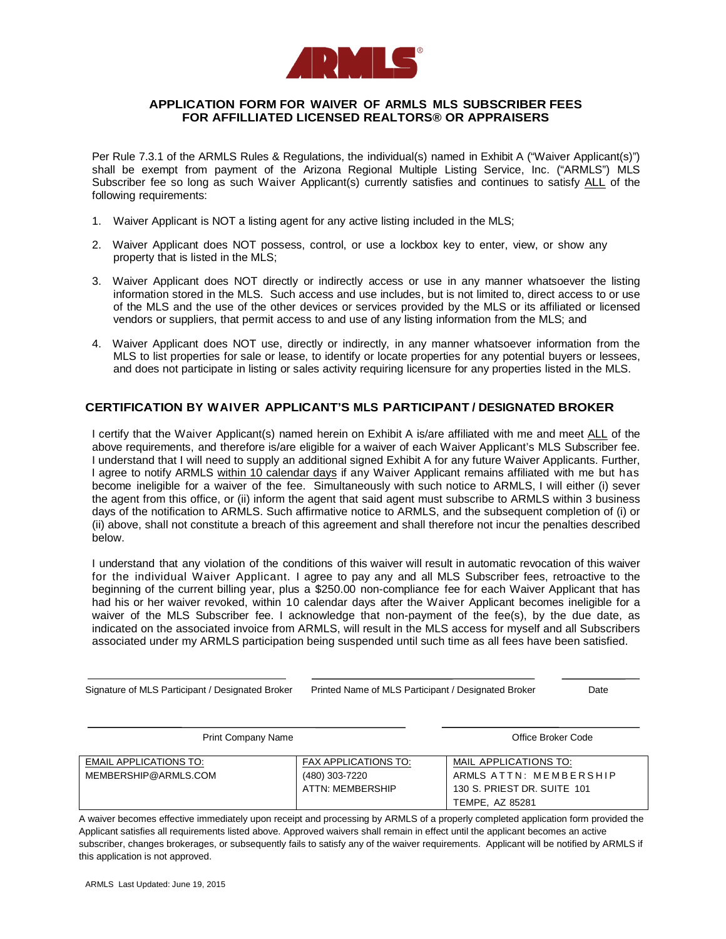

## **APPLICATION FORM FOR WAIVER OF ARMLS MLS SUBSCRIBER FEES FOR AFFILLIATED LICENSED REALTORS® OR APPRAISERS**

Per Rule 7.3.1 of the ARMLS Rules & Regulations, the individual(s) named in Exhibit A ("Waiver Applicant(s)") shall be exempt from payment of the Arizona Regional Multiple Listing Service, Inc. ("ARMLS") MLS Subscriber fee so long as such Waiver Applicant(s) currently satisfies and continues to satisfy ALL of the following requirements:

- 1. Waiver Applicant is NOT a listing agent for any active listing included in the MLS;
- 2. Waiver Applicant does NOT possess, control, or use a lockbox key to enter, view, or show any property that is listed in the MLS;
- 3. Waiver Applicant does NOT directly or indirectly access or use in any manner whatsoever the listing information stored in the MLS. Such access and use includes, but is not limited to, direct access to or use of the MLS and the use of the other devices or services provided by the MLS or its affiliated or licensed vendors or suppliers, that permit access to and use of any listing information from the MLS; and
- 4. Waiver Applicant does NOT use, directly or indirectly, in any manner whatsoever information from the MLS to list properties for sale or lease, to identify or locate properties for any potential buyers or lessees, and does not participate in listing or sales activity requiring licensure for any properties listed in the MLS.

## **CERTIFICATION BY WAIVER APPLICANT'S MLS PARTICIPANT / DESIGNATED BROKER**

I certify that the Waiver Applicant(s) named herein on Exhibit A is/are affiliated with me and meet ALL of the above requirements, and therefore is/are eligible for a waiver of each Waiver Applicant's MLS Subscriber fee. I understand that I will need to supply an additional signed Exhibit A for any future Waiver Applicants. Further, I agree to notify ARMLS within 10 calendar days if any Waiver Applicant remains affiliated with me but has become ineligible for a waiver of the fee. Simultaneously with such notice to ARMLS, I will either (i) sever the agent from this office, or (ii) inform the agent that said agent must subscribe to ARMLS within 3 business days of the notification to ARMLS. Such affirmative notice to ARMLS, and the subsequent completion of (i) or (ii) above, shall not constitute a breach of this agreement and shall therefore not incur the penalties described below.

I understand that any violation of the conditions of this waiver will result in automatic revocation of this waiver for the individual Waiver Applicant. I agree to pay any and all MLS Subscriber fees, retroactive to the beginning of the current billing year, plus a \$250.00 non-compliance fee for each Waiver Applicant that has had his or her waiver revoked, within 10 calendar days after the Waiver Applicant becomes ineligible for a waiver of the MLS Subscriber fee. I acknowledge that non-payment of the fee(s), by the due date, as indicated on the associated invoice from ARMLS, will result in the MLS access for myself and all Subscribers associated under my ARMLS participation being suspended until such time as all fees have been satisfied.

| <b>Print Company Name</b>                             | Office Broker Code                                                       |                                                                                                   |  |
|-------------------------------------------------------|--------------------------------------------------------------------------|---------------------------------------------------------------------------------------------------|--|
| <b>EMAIL APPLICATIONS TO:</b><br>MEMBERSHIP@ARMLS.COM | <b>FAX APPLICATIONS TO:</b><br>(480) 303-7220<br><b>ATTN: MEMBERSHIP</b> | MAIL APPLICATIONS TO:<br>ARMLS ATTN: MEMBERSHIP<br>130 S. PRIEST DR. SUITE 101<br>TEMPE. AZ 85281 |  |

Signature of MLS Participant / Designated Broker Printed Name of MLS Participant / Designated Broker Date

A waiver becomes effective immediately upon receipt and processing by ARMLS of a properly completed application form provided the Applicant satisfies all requirements listed above. Approved waivers shall remain in effect until the applicant becomes an active subscriber, changes brokerages, or subsequently fails to satisfy any of the waiver requirements. Applicant will be notified by ARMLS if this application is not approved.